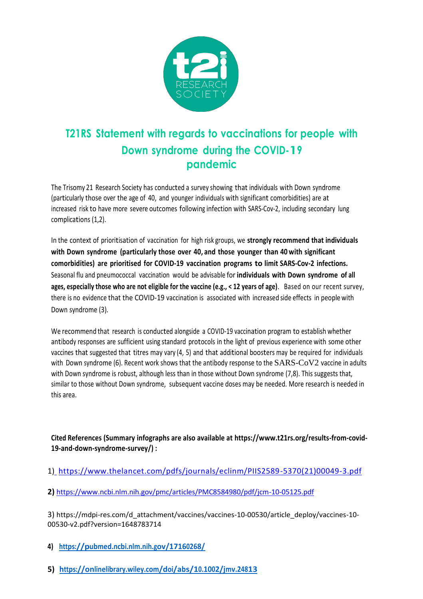

## **T21RS Statement with regards to vaccinations for people with Down syndrome during the COVID-19 pandemic**

The Trisomy 21 Research Society has conducted a survey showing that individuals with Down syndrome (particularly those over the age of 40, and younger individuals with significant comorbidities) are at increased risk to have more severe outcomes following infection with SARS-Cov-2, including secondary lung complications (1,2).

In the context of prioritisation of vaccination for high risk groups, we **strongly recommend that individuals with Down syndrome (particularly those over 40, and those younger than 40 with significant comorbidities) are prioritised for COVID-19 vaccination programs to limit SARS-Cov-2 infections.** Seasonal flu and pneumococcal vaccination would be advisable for **individuals with Down syndrome of all ages, especially those who are not eligible for the vaccine (e.g., < 12 years of age)**. Based on our recent survey, there is no evidence that the COVID-19 vaccination is associated with increased side effects in people with Down syndrome (3).

We recommend that research is conducted alongside a COVID-19 vaccination program to establish whether antibody responses are sufficient using standard protocols in the light of previous experience with some other vaccines that suggested that titres may vary (4, 5) and that additional boosters may be required for individuals with Down syndrome (6). Recent work shows that the antibody response to the SARS-CoV2 vaccine in adults with Down syndrome is robust, although less than in those without Down syndrome (7,8). This suggests that, similar to those without Down syndrome, subsequent vaccine doses may be needed. More research is needed in this area.

## **Cited References (Summary infographs are also available at https://www.t21rs.org/results-from-covid-19-and-down-syndrome-survey/) :**

- 1[\)](%20) [https://www.thelancet.com/pdfs/journals/eclinm/PIIS2589-5370\(21\)00049-3.pdf](https://www.thelancet.com/pdfs/journals/eclinm/PIIS2589-5370(21)00049-3.pdf)
- **2)** <https://www.ncbi.nlm.nih.gov/pmc/articles/PMC8584980/pdf/jcm-10-05125.pdf>

3) [https://mdpi-res.com/d\\_attachment/vaccines/vaccines-10-00530/article\\_deploy/vaccines-10-](https://mdpi-res.com/d_attachment/vaccines/vaccines-10-00530/article_deploy/vaccines-10-00530-v2.pdf?version=1648783714) [00530-v2.pdf?version=1648783714](https://mdpi-res.com/d_attachment/vaccines/vaccines-10-00530/article_deploy/vaccines-10-00530-v2.pdf?version=1648783714)

- **4) <https://pubmed.ncbi.nlm.nih.gov/17160268/>**
- **5) <https://onlinelibrary.wiley.com/doi/abs/10.1002/jmv.24813>**